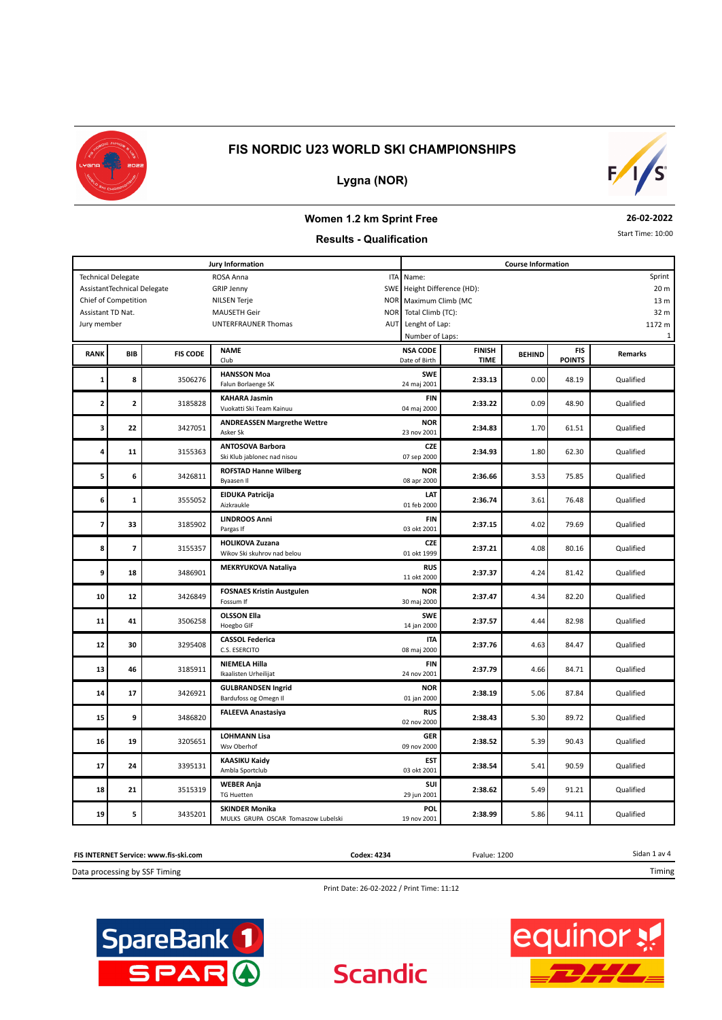



#### **Lygna (NOR)**

# **Women 1.2 km Sprint Free**

#### **26-02-2022** Start Time: 10:00

**Results - Qualification**

**Jury Information Course Information** ROSA Anna GRIP Jenny NILSEN Terje MAUSETH Geir UNTERFRAUNER Thomas Technical Delegate Chief of Competition AssistantTechnical Delegate Assistant TD Nat. ITA SWE NOR NOR AUT Lenght of Lap: Name: Height Difference (HD): Maximum Climb (MC Total Climb (TC): Number of Laps: 20 m 13 m 32 m 1172 m 1 Sprint Jury member **BEHIND BEHIND BEHIND TIME FIS CODE FINISH BEHIND CODE FINISH BEHIND POINTS RANK**  $C<sub>1</sub>$ **BIB** Date of Birth **NSA CODE Remarks Remarks Remarks**  0.00 **HANSSON Moa 1 a** 3506276 **2:33.13 2:33.13 2:33.13 2:33.13 2:33.13 2:33.13 2:33.13 2:33.13 2:33.13 2:33.13 2:33.13 2:33.13 2:33.13 2:33.13 2:33.13 2:33.13 2:33.13 2:33.13 2:33.13 2:33.13 2:33. SWE**<br>24 maj 2001 **<sup>8</sup>** Falun Borlaenge SK 24 maj 2001 Qualified 0.09 **KAHARA Jasmin 2 2** 3185828 **2:33.22 2:33.22 2:33.22 2:33.22 2:33.22 2:33.22 2:33.22 2:33.22 2:33.22 2:33.22 2:33.22 2:33.22 2:33.22 2:33.22 2:33.22 2:33.22 2:33.22 2:33.22 2:33.22 2:33.22 2:33. FIN**<br>04 maj 2000 **2** 3185828 Vuokatti Ski Team Kainuu 1 mm vartuuri 12:33.22 0.09 48.90 Qualified 1.70 **ANDREASSEN Margrethe Wettre 3** 3 22 34.83 **22** 3427051 **2:34.83 2:34.83 2:34.83 2:34.83 2:34.83 2:34.83 2:34.83 2:34.83 2:34.83 2:34.83 2:34.83 2:34.83 2:34.83 2:34.83 2:34.83 2:34.83 2:34.83 2:34.83 2:34.83 2:3 NOR 22** 3427051 Asker Sk 23 nov 2001 233 nov 2001 2:34.83 1.70 61.51 Qualified 1.80 **ANTOSOVA Barbora 4 11** 3155363 **2:34.93 2:34.93 2:34.93 2:36.90 2:36.90 2:34.93 2:34.93 2:34.93 2:34.93 2:34.93 2:34.93 2:34.93 2:34.93 2:34.93 2:34.93 2:34.93 2:34.93 2:34.93 2:34.93 2:34.93 2:34 CZE**<br>07 sep 2000 **11** 3155363 Ski Klub jablonec nad nisou 07 sep 2000 **2:34.93** 1.80 62.30 Qualified 3.53 **ROFSTAD Hanne Wilberg 5** 3426811 **2:36.66** 3426811 **2:36.66** 3.53 75.85 **NOR <sup>6</sup>** Byaasen Il 08 apr 2000 Qualified 3.61 **EIDUKA Patricija 6 1** 3555052 **2:36.74 2:36.74 2:36.74 2.36.74 2.36.74 2.36.74 2.36.74 2.36.74 2.36.74 2.36.74 2.36.74 2.36.74 2.36.74 2.36.74 2.36.74 2.36.74 2.36.74 2.36.74 2.36.74 2.36.74 2.36. LAT**<br>01 feb 2000 **1 1 2:36.74 2:36.74 2:36.74 2:36.74 2:36.74 2:36.74 2:36.74 2:36.74 2:36.74 2:36.74 2:36.74 2:36.74 2:36.74 2:36.74 2:36.74 2:36.74 2:36.74 2:36.74 2:36.74 2:36.74 2:36.74 2:3**  4.02 **LINDROOS Anni 7 33** 3185902 **2:37.15 2:37.15 4.02** 79.69 **FIN <sup>33</sup>** Pargas If 03 okt 2001 Qualified 4.08 **HOLIKOVA Zuzana 8 7** 3155357 **2:37.21** 3155357 **2:37.21 2:37.21 2:37.21 2:37.21 2:37.21 2.08 80.16 2.08 2.16 2.16 2.16 2.16 2.16 2.16 2.16 2.16 2.16 2.16 2.16 2.16 2.16 2.16 2.17.21 2.19 CZE** 4.24 **MEKRYUKOVA Nataliya 9 18** 3486901 **2:37.37 2:37.37 4.24** 81.42 **RUS 18 18 18 12-12 12-12 12-12 12-23-12 12-23-12 12-23-12 12-12 12-12 12-12 12-12 12-12 12-12 12-12 12-12 12-12 12-12 12-12 12-12 12-12 12-12 12-12 12-12 12-12 12-12 12-12**  4.34 **FOSNAES Kristin Austgulen 10 12 2:37.47 2:37.47 2:37.47 2:37.47 2:37.47 2:37.47 2:37.47 2:37.47 2:37.47 2:37.47 2:37.47 2:37.47 2:37.47 2:37.47 2:37.47 2:37.47 2:37.47 2:37.47 2:37.47 2:37.47 2:37.47 1 NOR**<br>30 maj 2000 **<sup>12</sup>** Fossum If 30 maj 2000 Qualified 4.44 **OLSSON Ella 11 41 2:37.57 4.44 2:298 2:37.57 2:37.57 2:37.57 4.44 20.98 SWE**<br>14 jan 2000 **<sup>41</sup>** Hoegbo GIF 14 jan 2000 Qualified 4.63 **CASSOL Federica 12 12 30 121 2:37.76 121 2:37.76 2:37.76 2:37.76 2:37.76 2:37.76 2:37.76 2:37.76 2:37.76 2:37.76 2:37.76 2:37.76 2:37.76 2:37.76 2:37.76 2:37.76 2:37.76 2:37.76 2:37.76 2:37 ITA**<br>08 maj 2000 **30** 3295408 C.S. ESERCITO **CONSUMISSION CONSUMISSION** 08 maj 2000 2:3**7.76** 4.63 84.47 Qualified 4.66 **NIEMELA Hilla 13 46 13185911 2:37.79 4.66** 84.71 **FIN <sup>46</sup>** Ikaalisten Urheilijat 24 nov 2001 Qualified 5.06 **GULBRANDSEN Ingrid 14 17 2:38.19 2:38.19 2:38.19 2:38.19 2:38.19 2:38.19 2:38.19 2:38.19 2:38.19 2:38.19 2:38.19 2:38.19 2:38.19 2:38.19 2:38.19 2:38.19 2:38.19 2:38.19 2:38.19 2:38.19 2:38.19 2 NOR 17 17 18426921 Bardufoss og Omegn Il 1990 CONTENT CONTENT UP to the CONTENT CONTENT CONTENT CONTENT OUT DETAIL CONTENT CONTENT CONTENT CONTENT CONTENT CONTENT CONTENT CONTENT CONTENT CONTENT CONTENT CONTENT CONTENT**  5.30 **FALEEVA Anastasiya 15 15 2:38.43 2:38.43 2:38.43 2:38.43 2:38.43 2:38.43 2:38.43 2:38.43 2:38.43 2:38.43 2:38.43 2:38.43 2:38.43 2:38.43 2:38.43 2:38.43 1 2:38.43 1 2:38.43 1 2:38.43 1 2:38. RUS 9** 3486820 3486820  $\frac{1}{2}$  0.11 nov 2000  $\frac{1}{2}$  2:38.43 5.30 89.72 Qualified 5.39 **LOHMANN Lisa 16 19 2:38.52 2:38.52 2:38.52 2:38.52 2:38.52 2:38.52 2:38.52 2:38.52 2:38.52 2:38.52 2:38.52 2:38.52 2:38.52 2:38.52 2:38.52 2:38.52 2:38.52 2:38.52 2:38.52 2:38.52 2:38.52 2 GER 19** 3205651 Wsv Oberhof Contract 19 november 21:38.52 5.39 90.43 Qualified 5.41 **KAASIKU Kaidy 17 17 24 18 2:38.54 2:38.54 2:38.54 2:38.54 2:38.54 2:38.54 2:38.54 2:38.54 2:38.54 2:38.54 2:38.54 2:38.54 2:38.54 2:38.54 2:38.54 2:38.54 2:38.54 2:38.54 2:38.54 2:38.54 2 EST 24** 3395131 Ambla Sportclub 1. **2001** 2:38.54 5.41 90.59 Qualified 5.49 **WEBER Anja 18 21 21 21 21 21 21 21.21 21.21 21.38.62 21.38.62 21.38.62 21.31.21 SUI 21** 3515319 TG Huetten 2001 29 Jun 2001 **2:38.62** 5.49 91.21 Qualified



**Scandic** 

**19 5** 3435201 MULKS GRUPA OSCAR Tomaszow Lubelski 19 nov 2001 2:38.99 5.86 94.11 Qualified

Print Date: 26-02-2022 / Print Time: 11:12

**POL**<br>19 nov 2001



**SKINDER Monika**



5.86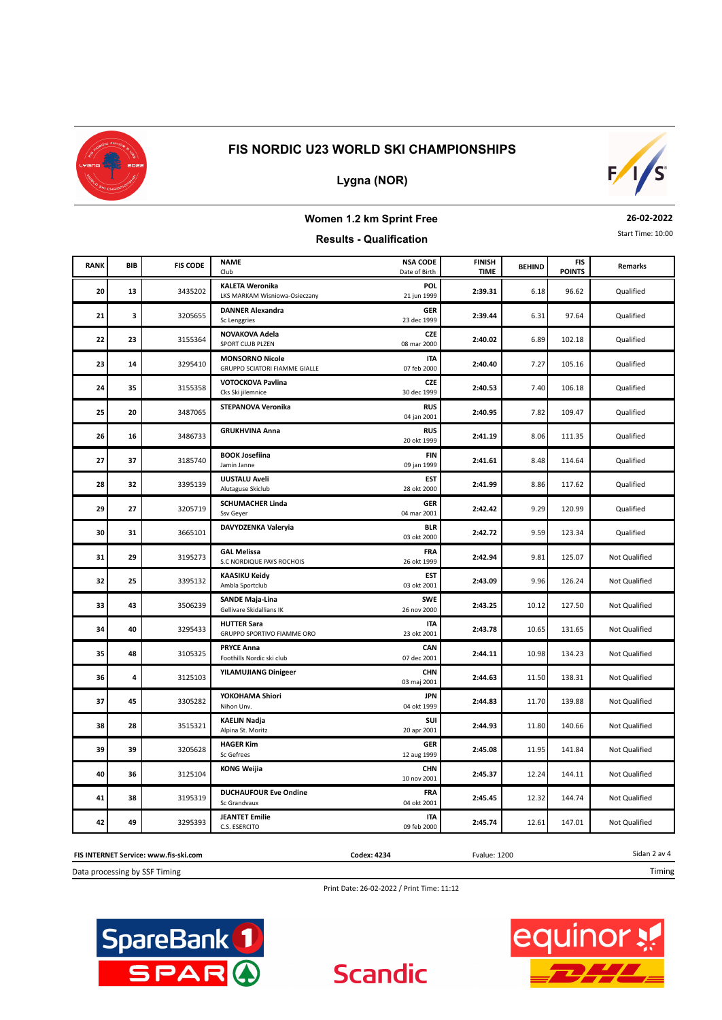

# **Lygna (NOR)**



#### **Women 1.2 km Sprint Free Results - Qualification**

#### **26-02-2022**

Start Time: 10:00

#### **BEHIND**<br> **BEHIND**<br> **BEHIND TIME** FIS CODE **NAME** FIS CODE **FINISH** BEHIND FIS **POINTS RANK** Club **BIB** Date of Birth **NSA CODE Remarks Remarks Remarks**  6.18 **KALETA Weronika 20 13 201 13 2:39.31 2:39.31 2:39.31 2:39.31 96.62 Qualified POL**<br>21 jun 1999 6.31 **DANNER Alexandra 21** 3205655 **2:39.44** 97.64 **GER**<br>23 dec 1999 **3** 3205655 Schenggries 23 dec 1999 **2:39.44** 6.31 97.64 Qualified 6.89 **NOVAKOVA Adela 22 22 23 23 23 23 23 22 23 2140.02 2140.02 2140.02 2140.02 2140.02 2140.02 2140.02 2140.02 2140.02 2140.02 2140.02 2140.02 2140.02 2140.02 2140.02 2140.02 2140.02 2140.0 CZE 23** 3155364 SPORT CLUB PLZEN CONTROLLER CONTROLLER DESIGN 08 mar 2000 2:4**0.02** 6.89 102.18 Qualified 7.27 **MONSORNO Nicole 23 14** 3295410 **23010 CRUPPO SCIATORI FIAMME GIALLE 1** 105.2000 **2:40.40 7:27 2:40.40 7:27 105.16** Qualified **ITA** 7.40 **VOTOCKOVA Pavlina 24 24 24 2155358 216.18 2:40.53 2:40.53 2:40.53 2:40.53 2:40.53 2:40.53 2:40.53 2:40.53 2:40.53 2:40.53 2:40.53 2:40.53 2:40.53 2:40.53 2:40.53 2:40.53 2:40.53 2:40.53 2:40.53 CZE 35** 3155358 Cks Ski jilemnice 31.5 and the Cualified 30 dec 1999 **2:40.53** 7.40 106.18 Qualified 7.82 **STEPANOVA Veronika 25 20 20 201 109.47 2:40.95 2:40.95 2:40.95 2:40.95 2:40.95 2:40.95 2:40.95 2:40.95 2:40.95 2:40.95 2:40.95 2:40.95 2:40.95 2:40.95 2:40.95 2:40.95 2:40.95 2:40.95 2:40.95 2:4 RUS 20** 3487065 **201 199.47** 2.40.95 **2.40.95** 2.40.95 **2.40.95** 2.40.95 109.47 Qualified 8.06 **GRUKHVINA Anna 26 16** 3486733 **2:41.19 2:41.19 2:41.19 2:41.19 2:41.19 2:41.19 2:41.19 2:41.19 2:41.19 2:41.19 2:41.19 2:41.19 2:41.19 2:41.19 2:41.19 2:41.19 2:41.19 2:41.19 2:41.19 2:41.19 2:4 RUS 16** 3486733 **CALLES 20 Okt 1999** 2:41.19 8.06 111.35 Qualified 8.48 **BOOK Josefiina 27 127 27 27 27 27 2.41.61 2.41.61 2.41.61 2.41.61 2.41.61 2.41.61 2.41.61 2.41.61 2.41.61 2.41.61 2.41.61 2.41.61 2.41.61 2.41.61 2.41.61 2.41.61 2.41.61 2.41.61 2.41.61 FIN**<br>09 jan 1999 **37** 3185740 Jamin Janne 1999 (1999 ) 2**:41.61** 8.48 114.64 Qualified 8.86 **UUSTALU Aveli 28 1 2.41.99 2.41.99 2.41.99 2.41.99 2.41.99 2.41.99 2.41.99 2.41.99 2.41.99 2.41.99 2.41.99 2.41.99 2.41.99 2.41.99 2.41.99 2.41.99 2.41.99 2.41.99 2.41.99 2.41.99 2.41.99 2. EST 32 3395139** Alutaguse Skiclub 28 **CONSEX 2000** 2.4**1.99 2.41.99 2.8 CONSEX 886 2000 2.41.99 2.41.99 2.41.99 2.41.99 2.41.99 2.41.99 2.41.99 2.41.99 2.41.99 2.41.99 2.41.99 2.41.99 2.41.99**  9.29 **SCHUMACHER Linda 29 27** 3205719 **2:42.42 2:42.42 2:42.42 2:42.42 2:42.42 2:42.42 2:42.42 2:42.42 2:42.42 2:42.42 2:42.42 2:42.42 2:42.42 2:42.42 120.99 GER 27** 3205719 Ssv Geyer 1. Compared 1. The Comparison of the Comparison of the Comparison of the Companison of the Companison of the Companison of the Companison of the Companison of the Companison of the Companison of the 9.59 **DAVYDZENKA Valeryia 30 31 2:42.72 2:42.72 2:42.72 2:42.72 2:42.72 2:42.72 2:42.72 2:42.72 2:42.72 2:42.72 2:42.72 2:42.72 2:42.72 2:42.72 2:42.72 2:42.72 2:42.72 2:42.72 2:42.72 2:42.72 2:42.72 2 BLR <sup>31</sup>** 03 okt 2000 Qualified 9.81 **GAL Melissa 31 29** 3195273 **2:42.94 2:52.07 125.07 2:42.94 2:42.94 2:42.94 2:42.94 2:42.94 2:42.94 2:42.94 2:42.94 2:42.94 2:42.94 2:42.94 2:42.94 2:42.94 2:42.94 2:42.94 2:42.94 2:42.94 2:42.9 FRA**<br>26 okt 1999 9.96 **KAASIKU Keidy 32 1 2:43.09 2:5 2:43.09 2:43.09 2:43.09 2:43.09 2:43.09 2:43.09 2:43.09 2:43.09 2:43.09 2:43.09 2:43.09 2:43.09 2:43.09 2:43.09 2:43.09 2:43.09 2:43.09 2:43.09 2:43.09 2:43.0 EST**<br>03 okt 2001 **25 25 25 243.09 25 2443.09 25 2443.09 2548.09 2548.09 2548.09 2.443.09 2.443.09 2.443.09 2.443.09 2.443.09 2.443.09 2.443.09 2.443.09 2.443.09 2.443.09 2.443.09 2.443.09 2.443** 10.12 **SANDE Maja-Lina 33 43 43 2:43.25 10.12 127.50 2:43.25 10.12 127.50 SWE**<br>26 nov 2000 **43 43 443 444 127.50 666239 1.12 666239 1.12 1.12 1.12 1.12 1.12 1.12 1.12 1.12 1.12 1.12 1.12 1.12 1.12 1.12 1.12 1.12 1.12 1.12 1.12 1.12 1.12 1.12 1.12 1.12** 10.65 **HUTTER Sara 34 40 2:43.78 2:43.78 2:43.78 2:43.78 2:43.78 2:43.78 2:43.78 2:43.78 2:43.78 2:43.78 2:43.78 2:43.78 2:43.78 2:43.78 2:43.78 2:43.78 2:43.78 2:43.78 2:43.78 2:43.78 2:43.78 2 ITA** 10.98 **PRYCE Anna 35 48** 3105325 **2:44.11 2:44.11 2:44.11** 10.98 134.23 **CAN 48 105325** Foothills Nordic ski club **1999 12:44.11 2:44.11 10.98 134.23** Not Qualified 11.50 **YILAMUJIANG Dinigeer 36 4** 3125103 **2:44.63 2:44.63** 11.50 **23.31 CHN 4** 3125103 **125103 125103 125103 125103 1251 1251 2:44.63 2:44.63 2:44.63 125103 125103 125103 125103 125103 125103 125103 125103 125103 125103 125103 125103 125103 125103 125** 11.70 **YOKOHAMA Shiori 37 45 2:44.83 2:44.83** 11.70 **2:44.83 2:44.83 2:44.83 2:44.83 2:44.83 2:44.83 2:44.83 11.70 139.88 JPN 45** 3305282 Nihon Unv. 04 okt 1999 2**:44.83** 1.70 139.88 Not Qualified 11.80 **KAELIN Nadja 38** 3515321 **2:44.93** 140.66 **SUI**<br>20 apr 2001 **28** 3515321 Alpina St. Moritz 20 **2012 12:44.93** 2-44.93 2.44.93 2.44.93 2.44.93 2.44.93 2.44.93 2.44.93 2.44.93 2.44.93 2.44.93 2.44.93 2.44.93 2.44.93 2.44.93 2.44.93 2.44.93 2.44.93 2.44.93 2.44.93 2.44.93 2.44.93 2.4. 11.95 **HAGER Kim 39** 39 3205628 **2:45.08 2:45.08** 11.95 **2:45.08** 11.95 **GER 39** 3205628 Sc Gefrees 12 aug 1999 2:4**5.08** 2.1.95 141.84 Not Qualified 12.24 **KONG Weijia 40 10 2:45.37 12.24 144.11 2:45.37 12.24 144.11 CHN**<br>10 nov 2001 **<sup>36</sup>** 10 nov 2001 Not Qualified 12.32 **DUCHAUFOUR Eve Ondine 41 38** 3195319 **2:45.45 2:45.45 2:45.45** 12.32 144.74 **FRA**<br>04 okt 2001 **38** 3195319 Sc Grandvaux **Contract Contract Contract Contract Contract Contract Contract 2:32 2:45.45 12.32 144.74 Not Qualified** 12.61 **JEANTET Emilie 42 49** 3295393 **2:45.74 2:45.74** 12.61 147.01 **ITA**<br>09 feb 2000 **49** 3295393 C.S. ESERCITO **1992 CONSUMER 2245.74** 2.61 147.01 Not Qualified

**FIS INTERNET Service: www.fis-ski.com**

Data processing by SSF Timing

**Codex: 4234** Fvalue: 1200

**Scandic** 

Sidan 2 av 4 Timing

Print Date: 26-02-2022 / Print Time: 11:12



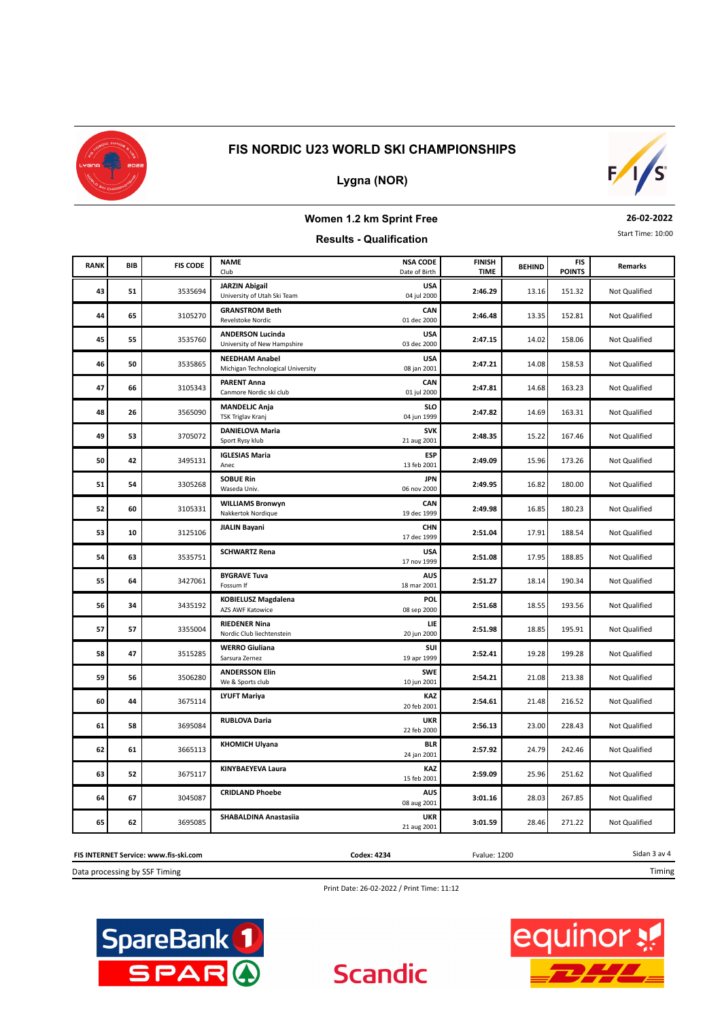

## **Lygna (NOR)**



#### **Women 1.2 km Sprint Free Results - Qualification**

#### **26-02-2022**

Start Time: 10:00

#### **BEHIND**<br> **BEHIND**<br> **BEHIND TIME** FIS CODE **NAME** FIS CODE **FINISH** BEHIND FIS **POINTS RANK** Club **BIB** Date of Birth **NSA CODE Remarks Remarks Remarks** 13.16 **JARZIN Abigail 43 51** 3535694 **2:46.29 2:46.29 2:46.29** 13.16 151.32 Mot Qualified **USA**<br>04 jul 2000 13.35 **GRANSTROM Beth 44 65** 3105270 **2:46.48** 3105270 **2:46.48** 3105270 **2:46.48** 313.35 **2:46.48** 313.35 **2:46.48** 313.35 **2:46.48** 3152.81 **CAN 65 105270** Revelstoke Nordic 2.10 **CONSUMER 2.46.48 2.46.48 1.52.81** Not Qualified 14.02 **ANDERSON Lucinda 45 55** 3535760 *LIVERTING TERRIFREX 1903* **2:47.15** 14.02 158.06 Not Qualified **USA**<br>03 dec 2000 14.08 **NEEDHAM Anabel 46** 3535865 **2:47.21** 158.53 **USA 50** MICHIGM AND MICHIGAN AND MICHIGAN AND STRING USA **USA 114.08** 158.53 Mot Qualified 14.68 **PARENT Anna 47 66** 3105343 **2:47.81 2:47.81 2:47.81 2:47.81 2:47.81 2:47.81 2:47.81 CAN 66** 3105343 Canmore Nordic ski club 01 jul 2000 2:4**7.81** 14.68 163.23 Not Qualified 14.69 **MANDELJC Anja 48 26 2:47.82 2:47.82 2:47.82 2:47.82 2:47.82 2:47.82 2:47.82 2:47.82 2:47.82 2:47.82 2:47.82 163.31 SLO 26** 3565090 TSK Triglav Kranj 1999 **1999 1999 2:47.82** 14.69 163.31 Not Qualified 15.22 **DANIELOVA Maria 49 15.22 2:48.35 2:48.35 15.22 167.46 SVK 53** 3705072 Sport Rysy klub 21 aug 2001 2:48.35 15.22 167.46 Not Qualified 15.96 **IGLESIAS Maria 50** 3495131 **2:49.09** 173.26 **ESP**<br>13 feb 2001 **42 42 123.26 173.26 124.09 124.09 12.49.09 15.96 173.26 Not Qualified** 16.82 **SOBUE Rin 51 54 2:49.95 16.82 2:49.95 2:49.95 2:49.95 2:49.95 2:49.95 2:49.95 2:49.95 2:49.95 2:49.95 2:49.95 2:49.00 JPN 54** 3305268 Waseda Univ. **1990 Note 2000** 2:49.95 16.82 180.00 Not Qualified 16.85 **WILLIAMS Bronwyn 52 60** 3105331 **2:49.98 2:49.98 2:49.98 2:49.98 2:49.98 2:49.98 2:49.98 2:49.98 2:49.98 2:49.98 2:49.98 2:49.98 2:49.98 2:49.98 2:49.98 16.85 2:49.98 16.85 180.23 CAN**<br>19 dec 1999 **60** 3105331 Nakkertok Nordique 19 dec 1999 2**:49.98** 16.85 180.23 Not Qualified 17.91 **JIALIN Bayani 53 10 1** 3125106 **2:51.04 2:51.04 2:51.04 2:51.04 2:51.04 2:51.04 2:51.04 2:51.04 2:51.04 2:51.04 2:51.04 2:51.04 2:51.04 2:51.04 2:51.04 2:51.04 2:51.04 2:51.04 2:51.04 2:51.04 CHN 10** 3125106 **10** 10 17 dec 1999 **2:51.04** 17.91 188.54 Not Qualified 17.95 **SCHWARTZ Rena 54 63 2:51.08 2:51.08 2:51.08 2:51.08 2:51.08 2:51.08 2:51.08 2:51.08 2:51.08 2:51.08 2:51.08 2:51.08 2:51.08 2:51.08 2:51.08 2:51.08 2:51.08 2:51.08 2:51.08 2:51.08 2:51.08 2 USA**<br>17 nov 1999 **63** 17 17 188.85 17 17 17 17 1899 17.95 188.85 Not Qualified 18.14 **BYGRAVE Tuva 55 64** 3427061 **2:51.27 2:51.27** 18.14 190.34 **AUS 64** 3427061 **Fossum If 18 mar 2001** 18 mar 2001 **2:51.27** 18.14 190.34 Not Qualified 18.55 **KOBIELUSZ Magdalena 56** 34 3435192 2:51.68 34 3455192 2:51.68 345192 2:51.68 345192 2:51.68 34 **POL**<br>08 sep 2000 **34** 3435192 AZS AVF Katowice 1.1. And the contract of the contract of the contract of the contract of the contract of the contract of the contract of the contract of the contract of the contract of the contract of the con 18.85 **RIEDENER Nina 57** 3355004 **2:51.98 2:51.98** 18.85 **2:51.98** 195.91 **LIE 57** 3355004 **Mortic Club liechtenstein** 20 jun 2000 **2:51.98** 2.651.98 195.91 Not Qualified 19.28 **WERRO Giuliana 58 1 47 2:52.41 2:52.41 2:52.41 2:52.41 2:52.41 2:52.41 2:52.41 2:52.41 2:52.41 2:52.41 2:52.41 2:52.41 2:52.41 2:52.41 2:52.41 2:52.41 2:52.41 2:52.41 2:52.41 2:52.41 2:52.41 SUI 47** 3515285 Sarsura Zernez 2002 **1999 Not Qualified** 2:52.41 199.28 Not Qualified 21.08 **ANDERSSON Elin 59 59 2:54.21 21.08 2:54.21 21.08 2:54.21 21.08 2:54.21 SWE 56** 3506280 We & Sports club 10 in 2001 2:54.21 21.08 213.38 Not Qualified 21.48 **LYUFT Mariya 60 44 21.48 216.52 2.54.61 21.48 216.52 KAZ 44 2:54.61 2:448 2:65.52** Not Qualified 23.00 **RUBLOVA Daria 61 58** 3695084 **2:56.13 2:56.13** 23.00 **2:8.43 UKR**<br>22 feb 2000 **58** 3695084 **2:56.13** 2:56.13 **2:56.13** 2:3.00 2:8.43 Not Qualified 24.79 **KHOMICH Ulyana 62 61 2:57.92 24.26 2:57.92 2:57.92 2:479 2:42.46 BLR <sup>61</sup>** 24 jan 2001 Not Qualified 25.96 **KINYBAEYEVA Laura 63 52** 3675117 **2:59.09 25.96** 251.62 **KAZ**<br>15 feb 2001 **52** 15 **52** 15 **52** 15 **52 15 15 feb 2001** 2:59.09 25.96 251.62 Not Qualified 28.03 **CRIDLAND Phoebe 64 67** 3045087 **3:01.16 3:01.16 3:01.16 3:01.16 3:01.16 3:01.16 3:01.16 3:01.16 3:01.16 3:01.16 3:01.16 3:01.16 3:01.16 3:01.16 3:01.16 3:01.16 3:01.16 3:01.16 3:01.16 3:01.16 3:0 AUS**<br>08 aug 2001 **67** 3045087 3046087 3046082001 08 aug 2001 3:01.16 28.03 267.85 Not Qualified 28.46 **SHABALDINA Anastasiia 65** 3695085 **3:01.59** 271.22 **UKR 62** 3695085 3695085 3696085 21 aug 2001 3:01.59 3:01.59 28.46 271.22 Not Qualified

#### **FIS INTERNET Service: www.fis-ski.com**

Data processing by SSF Timing

Print Date: 26-02-2022 / Print Time: 11:12

**Scandic** 

**Codex: 4234** Fvalue: 1200





Sidan 3 av 4

Timing